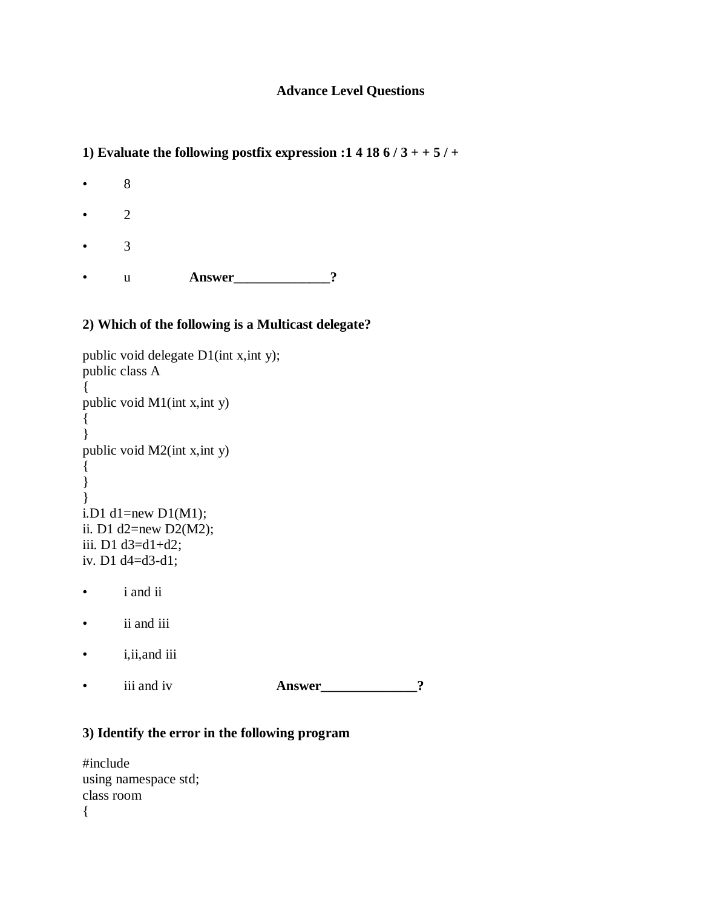# **Advance Level Questions**

1) Evaluate the following postfix expression :1 4 18  $6/3$  + +  $5/$  +

• 8 • 2 • 3

• u **Answer**\_\_\_\_\_\_\_\_\_\_\_\_\_\_?

# **2) Which of the following is a Multicast delegate?**

```
public void delegate D1(int x,int y);
public class A
{ 
public void M1(int x,int y)
{ 
} 
public void M2(int x,int y)
{ 
} 
} 
i.D1 d1=new D1(M1);
ii. D1 d2=new D2(M2); 
iii. D1 d3=d1+d2; 
iv. D1 d4=d3-d1;
```
- i and ii
- ii and iii
- i,ii,and iii
- iii and iv **Answer** 2

#### **3) Identify the error in the following program**

#include using namespace std; class room {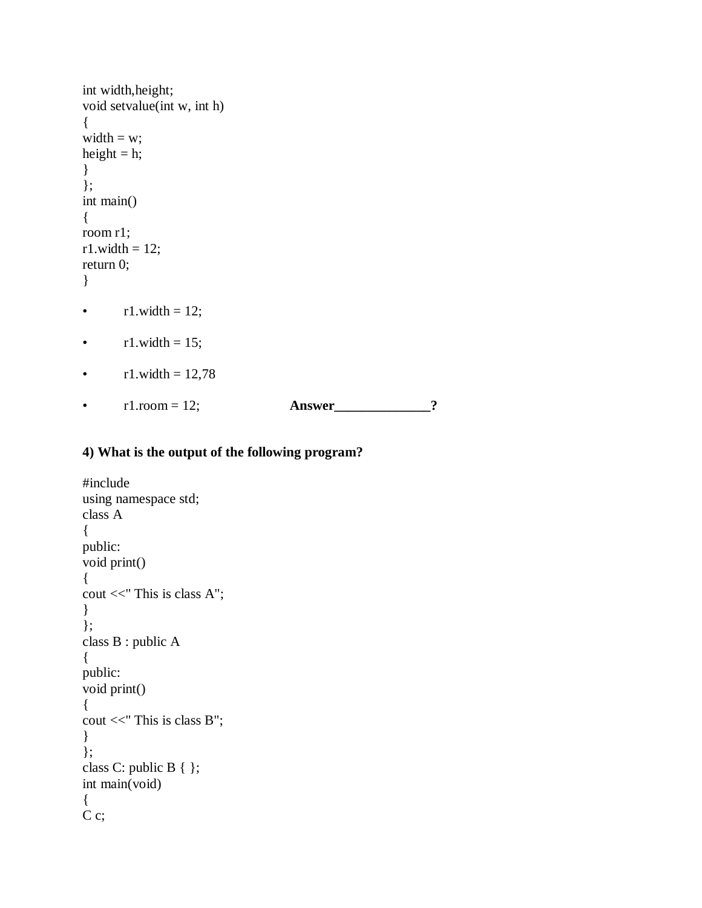```
int width,height;
void setvalue(int w, int h)
{
width = w;
height = h;
}
};
int main()
{
room r1;
r1.width = 12;
return 0;
} 
• r1.width = 12;
```
- $r1.width = 15;$
- $r1.width = 12,78$
- $r1.room = 12$ ; **Answer** \_\_\_\_\_\_\_\_\_\_\_\_\_\_?

# **4) What is the output of the following program?**

```
#include 
using namespace std;
class A
{
public:
void print()
{
cout <<" This is class A";
}
};
class B : public A
{
public:
void print()
{
cout <<" This is class B";
}
};
class C: public B { };
int main(void)
{
C c;
```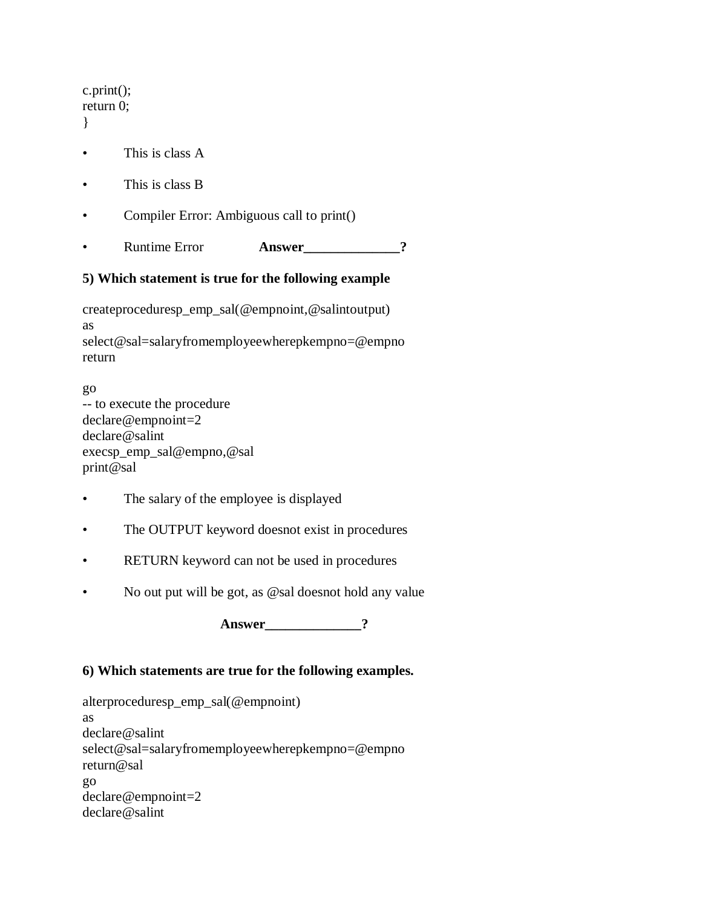| return $0$ ;                                         |                                           |               |  |
|------------------------------------------------------|-------------------------------------------|---------------|--|
|                                                      | This is class A                           |               |  |
|                                                      | This is class B                           |               |  |
|                                                      | Compiler Error: Ambiguous call to print() |               |  |
|                                                      | <b>Runtime Error</b>                      | <b>Answer</b> |  |
| 5) Which statement is true for the following example |                                           |               |  |
|                                                      |                                           |               |  |

createproceduresp\_emp\_sal(@empnoint,@salintoutput) as select@sal=salaryfromemployeewherepkempno=@empno return

go -- to execute the procedure declare@empnoint=2 declare@salint execsp\_emp\_sal@empno,@sal print@sal

- The salary of the employee is displayed
- The OUTPUT keyword doesnot exist in procedures
- RETURN keyword can not be used in procedures
- No out put will be got, as @sal doesnot hold any value

**Answer\_\_\_\_\_\_\_\_\_\_\_\_\_\_?**

# **6) Which statements are true for the following examples.**

alterproceduresp\_emp\_sal(@empnoint) as declare@salint select@sal=salaryfromemployeewherepkempno=@empno return@sal go declare@empnoint=2 declare@salint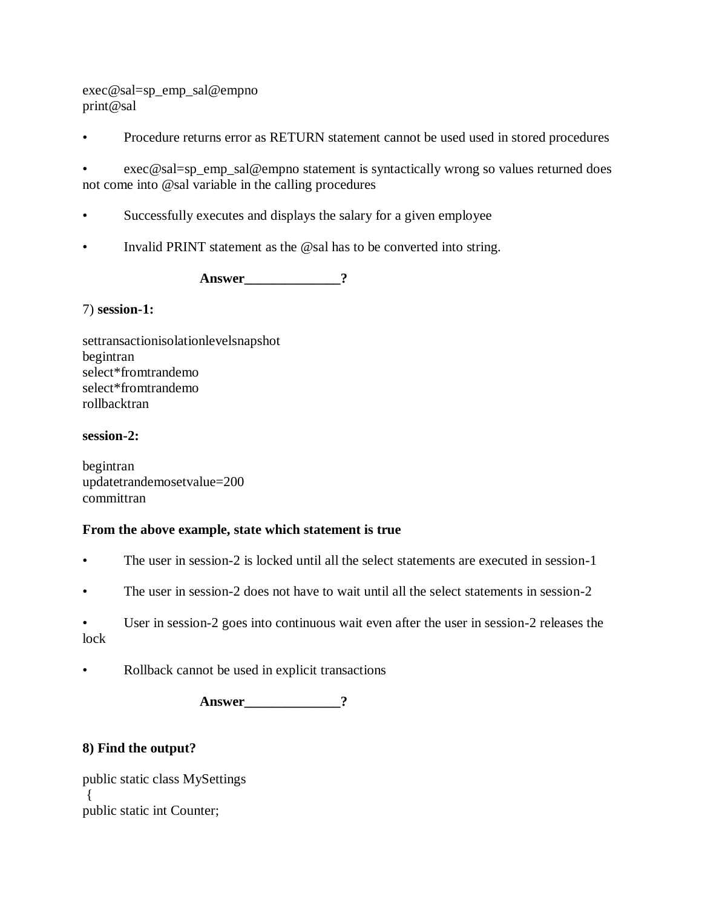exec@sal=sp\_emp\_sal@empno print@sal

• Procedure returns error as RETURN statement cannot be used used in stored procedures

exec@sal=sp\_emp\_sal@empno statement is syntactically wrong so values returned does not come into @sal variable in the calling procedures

- Successfully executes and displays the salary for a given employee
- Invalid PRINT statement as the @sal has to be converted into string.

Answer ?

#### 7) **session-1:**

settransactionisolationlevelsnapshot begintran select\*fromtrandemo select\*fromtrandemo rollbacktran

#### **session-2:**

begintran updatetrandemosetvalue=200 committran

#### **From the above example, state which statement is true**

- The user in session-2 is locked until all the select statements are executed in session-1
- The user in session-2 does not have to wait until all the select statements in session-2

User in session-2 goes into continuous wait even after the user in session-2 releases the lock

Rollback cannot be used in explicit transactions

Answer ?

#### **8) Find the output?**

public static class MySettings  $\left\{ \right.$ public static int Counter;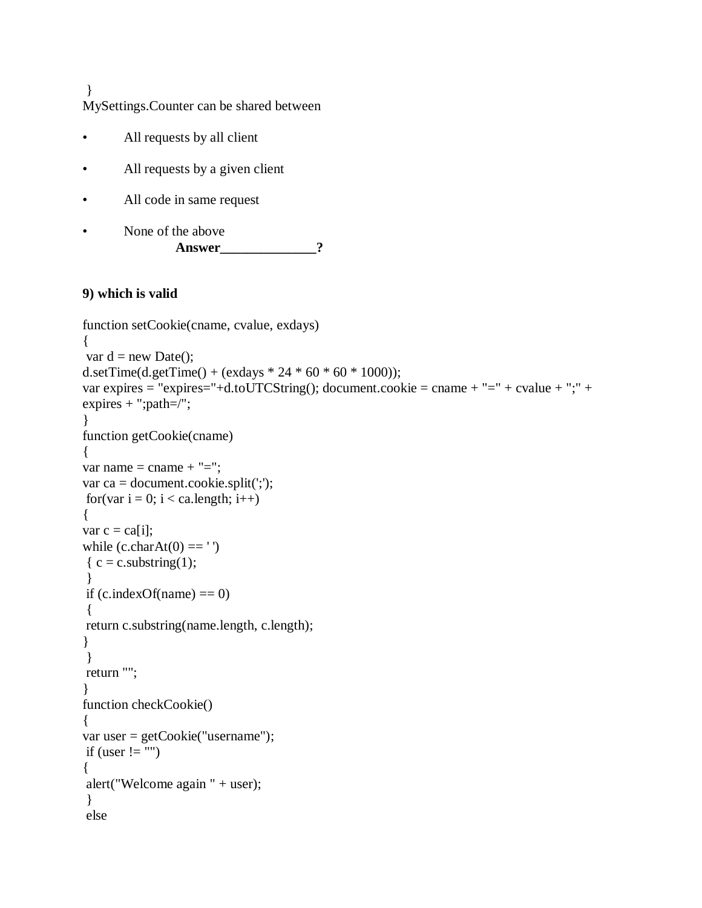} MySettings.Counter can be shared between

- All requests by all client
- All requests by a given client
- All code in same request
- None of the above **Answer** 2

## **9) which is valid**

```
function setCookie(cname, cvalue, exdays) 
{
var d = new Date();
d.setTime(d.getTime() + (exdays * 24 * 60 * 60 * 1000);
var expires = "expires="+d.toUTCString(); document.cookie = cname + "=" + cvalue + ";" +
expires + "; path=/";
}
function getCookie(cname) 
{ 
var name = cname + "=";
var ca = document.cookie.split(';');
for(var i = 0; i < ca.length; i++)
{ 
var c = \text{ca}[i];
while (c.charAt(0) == ''){c = c. substring(1);
 }
if (c.indexOf(name) == 0)
{
return c.substring(name.length, c.length); 
}
}
return ""; 
}
function checkCookie() 
{ 
var user = getCookie("username");
if (user != "")
{
alert("Welcome again " + user);
}
else
```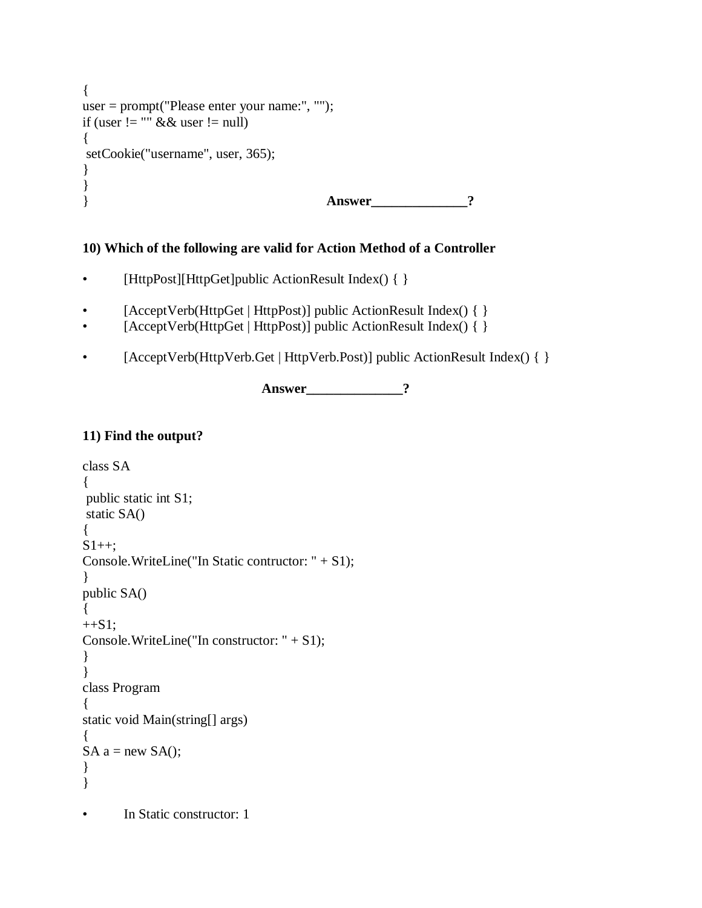```
{ 
user = prompt("Please enter your name:", ""); 
if (user != "" && user != null)
{
setCookie("username", user, 365); 
} 
}
} Answer______________?
```
# **10) Which of the following are valid for Action Method of a Controller**

- [HttpPost][HttpGet]public ActionResult Index() { }
- [AcceptVerb(HttpGet | HttpPost)] public ActionResult Index() { }
- [AcceptVerb(HttpGet | HttpPost)] public ActionResult Index() { }
- [AcceptVerb(HttpVerb.Get | HttpVerb.Post)] public ActionResult Index() { }

**Answer\_\_\_\_\_\_\_\_\_\_\_\_\_\_?**

# **11) Find the output?**

```
class SA
{
public static int S1;
static SA()
{
S1++;Console.WriteLine("In Static contructor: " + S1);
}
public SA()
{
+S1;Console.WriteLine("In constructor: " + S1);
}
}
class Program
{
static void Main(string[] args)
{
SA a = new SA;
}
}
       In Static constructor: 1
```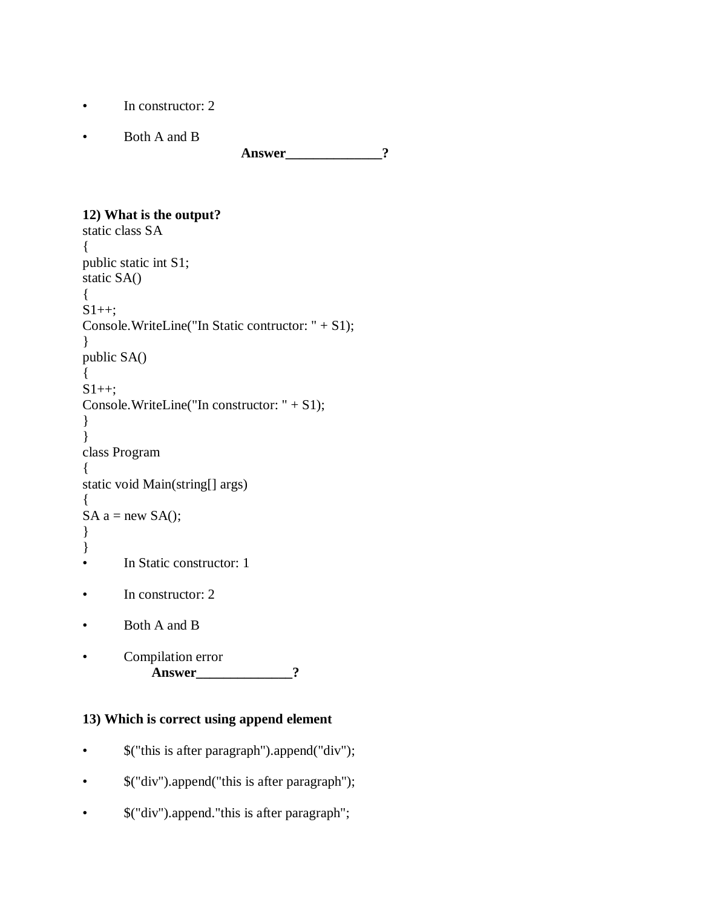- In constructor: 2
- Both A and B

Answer 2

### **12) What is the output?**

```
static class SA
{
public static int S1;
static SA()
{
S1++;Console.WriteLine("In Static contructor: " + S1);
}
public SA()
{
S1++;Console.WriteLine("In constructor: " + S1);
}
}
class Program
{
static void Main(string[] args)
{
SA a = new SA;
}
}
• In Static constructor: 1
• In constructor: 2
• Both A and B
       Compilation error
            Answer______________?
```
# **13) Which is correct using append element**

- \$("this is after paragraph").append("div");
- \$("div").append("this is after paragraph");
- $\mathcal{S}("div").$  append."this is after paragraph";